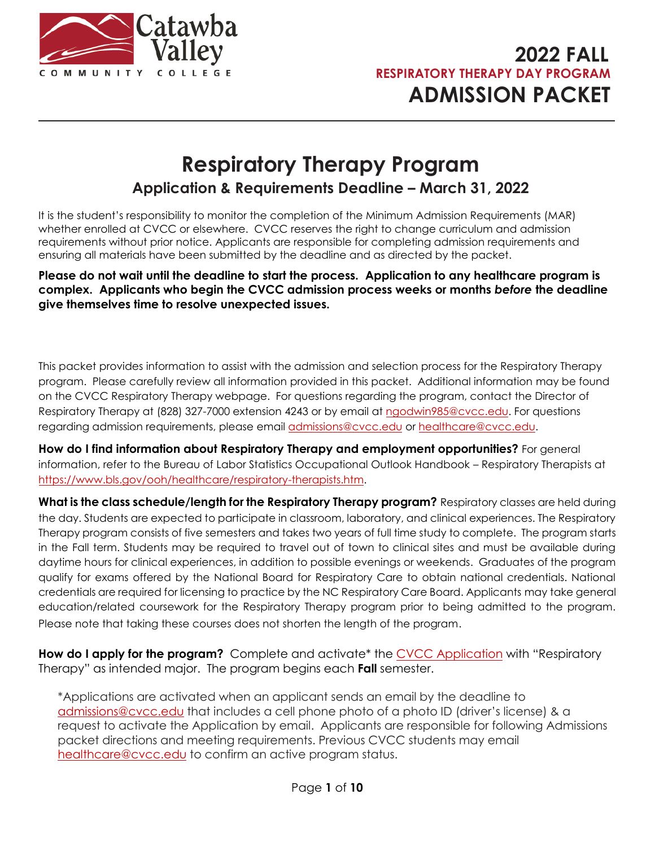

# **Respiratory Therapy Program Application & Requirements Deadline – March 31, 2022**

It is the student's responsibility to monitor the completion of the Minimum Admission Requirements (MAR) whether enrolled at CVCC or elsewhere. CVCC reserves the right to change curriculum and admission requirements without prior notice. Applicants are responsible for completing admission requirements and ensuring all materials have been submitted by the deadline and as directed by the packet.

**Please do not wait until the deadline to start the process. Application to any healthcare program is complex. Applicants who begin the CVCC admission process weeks or months** *before* **the deadline give themselves time to resolve unexpected issues.** 

This packet provides information to assist with the admission and selection process for the Respiratory Therapy program. Please carefully review all information provided in this packet. Additional information may be found on the CVCC Respiratory Therapy webpage. For questions regarding the program, contact the Director of Respiratory Therapy at (828) 327-7000 extension 4243 or by email at ngodwin985@cvcc.edu. For questions regarding admission requirements, please email admissions@cvcc.edu or healthcare@cvcc.edu.

**How do I find information about Respiratory Therapy and employment opportunities?** For general information, refer to the Bureau of Labor Statistics Occupational Outlook Handbook – Respiratory Therapists at https://www.bls.gov/ooh/healthcare/respiratory-therapists.htm.

**What is the class schedule/length for the Respiratory Therapy program?** Respiratory classes are held during the day. Students are expected to participate in classroom, laboratory, and clinical experiences. The Respiratory Therapy program consists of five semesters and takes two years of full time study to complete. The program starts in the Fall term. Students may be required to travel out of town to clinical sites and must be available during daytime hours for clinical experiences, in addition to possible evenings or weekends. Graduates of the program qualify for exams offered by the National Board for Respiratory Care to obtain national credentials. National credentials are required for licensing to practice by the NC Respiratory Care Board. Applicants may take general education/related coursework for the Respiratory Therapy program prior to being admitted to the program. Please note that taking these courses does not shorten the length of the program.

**How do I apply for the program?** Complete and activate\* the CVCC Application with "Respiratory Therapy" as intended major. The program begins each **Fall** semester.

\*Applications are activated when an applicant sends an email by the deadline to admissions@cvcc.edu that includes a cell phone photo of a photo ID (driver's license) & a request to activate the Application by email. Applicants are responsible for following Admissions packet directions and meeting requirements. Previous CVCC students may email healthcare@cvcc.edu to confirm an active program status.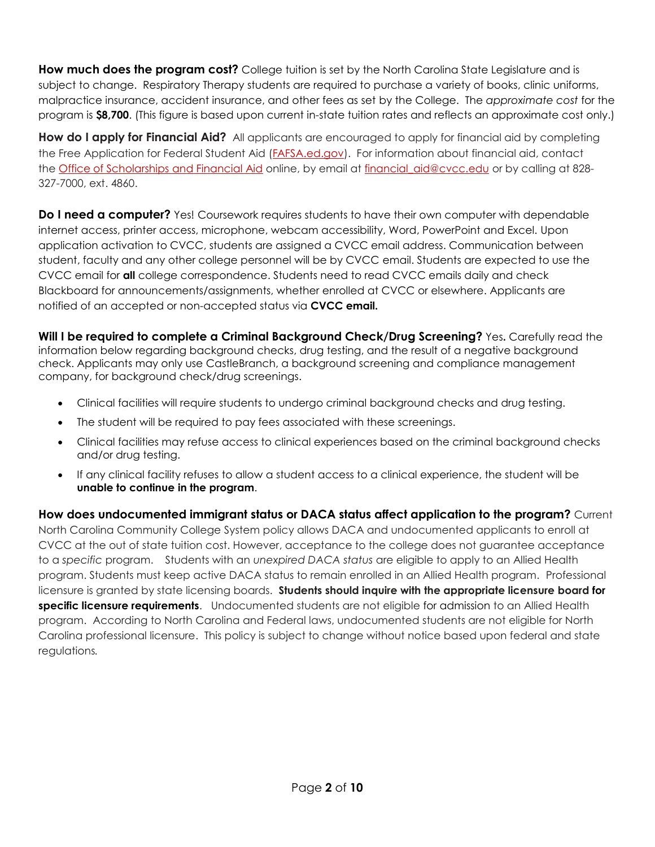**How much does the program cost?** College tuition is set by the North Carolina State Legislature and is subject to change. Respiratory Therapy students are required to purchase a variety of books, clinic uniforms, malpractice insurance, accident insurance, and other fees as set by the College. The *approximate cost* for the program is **\$8,700**. (This figure is based upon current in-state tuition rates and reflects an approximate cost only.)

**How do I apply for Financial Aid?** All applicants are encouraged to apply for financial aid by completing the Free Application for Federal Student Aid (FAFSA.ed.gov). For information about financial aid, contact the Office of Scholarships and Financial Aid online, by email at financial aid@cvcc.edu or by calling at 828-327-7000, ext. 4860.

**Do I need a computer?** Yes! Coursework requires students to have their own computer with dependable internet access, printer access, microphone, webcam accessibility, Word, PowerPoint and Excel. Upon application activation to CVCC, students are assigned a CVCC email address. Communication between student, faculty and any other college personnel will be by CVCC email. Students are expected to use the CVCC email for **all** college correspondence. Students need to read CVCC emails daily and check Blackboard for announcements/assignments, whether enrolled at CVCC or elsewhere. Applicants are notified of an accepted or non-accepted status via **CVCC email.**

**Will I be required to complete a Criminal Background Check/Drug Screening?** Yes**.** Carefully read the information below regarding background checks, drug testing, and the result of a negative background check. Applicants may only use CastleBranch, a background screening and compliance management company, for background check/drug screenings.

- Clinical facilities will require students to undergo criminal background checks and drug testing.
- The student will be required to pay fees associated with these screenings.
- Clinical facilities may refuse access to clinical experiences based on the criminal background checks and/or drug testing.
- If any clinical facility refuses to allow a student access to a clinical experience, the student will be **unable to continue in the program**.

**How does undocumented immigrant status or DACA status affect application to the program?** Current North Carolina Community College System policy allows DACA and undocumented applicants to enroll at CVCC at the out of state tuition cost. However, acceptance to the college does not guarantee acceptance to a *specific* program. Students with an *unexpired DACA status* are eligible to apply to an Allied Health program. Students must keep active DACA status to remain enrolled in an Allied Health program. Professional licensure is granted by state licensing boards. **Students should inquire with the appropriate licensure board for specific licensure requirements**. Undocumented students are not eligible for admission to an Allied Health program. According to North Carolina and Federal laws, undocumented students are not eligible for North Carolina professional licensure. This policy is subject to change without notice based upon federal and state regulations*.*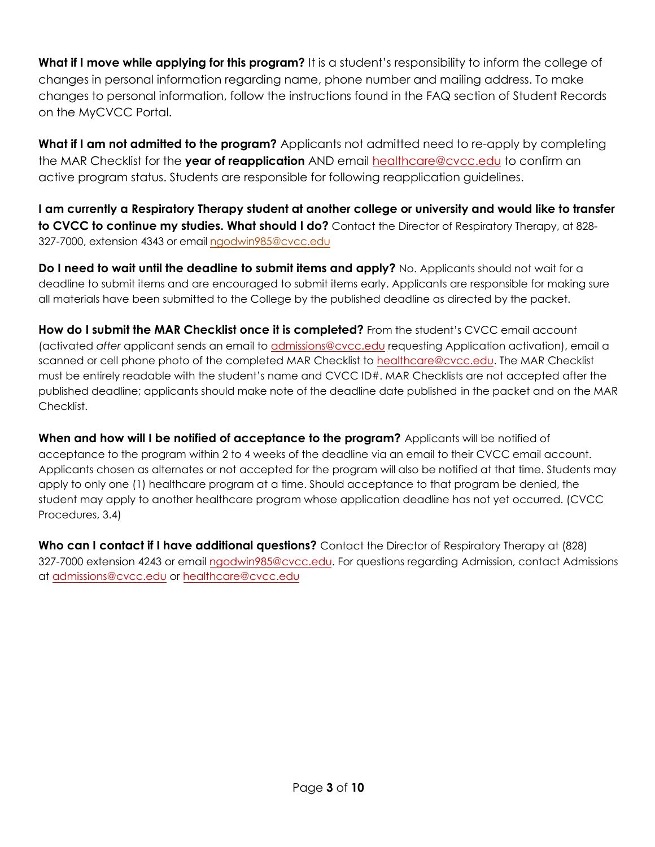**What if I move while applying for this program?** It is a student's responsibility to inform the college of changes in personal information regarding name, phone number and mailing address. To make changes to personal information, follow the instructions found in the FAQ section of Student Records on the MyCVCC Portal.

**What if I am not admitted to the program?** Applicants not admitted need to re-apply by completing the MAR Checklist for the **year of reapplication** AND email healthcare@cvcc.edu to confirm an active program status. Students are responsible for following reapplication guidelines.

**I am currently a Respiratory Therapy student at another college or university and would like to transfer to CVCC to continue my studies. What should I do?** Contact the Director of Respiratory Therapy, at 828- 327-7000, extension 4343 or email<ngodwin985@cvcc.edu>

**Do I need to wait until the deadline to submit items and apply?** No. Applicants should not wait for a deadline to submit items and are encouraged to submit items early. Applicants are responsible for making sure all materials have been submitted to the College by the published deadline as directed by the packet.

**How do I submit the MAR Checklist once it is completed?** From the student's CVCC email account (activated *after* applicant sends an email to admissions@cvcc.edu requesting Application activation), email a scanned or cell phone photo of the completed MAR Checklist to healthcare@cvcc.edu. The MAR Checklist must be entirely readable with the student's name and CVCC ID#. MAR Checklists are not accepted after the published deadline; applicants should make note of the deadline date published in the packet and on the MAR Checklist.

**When and how will I be notified of acceptance to the program?** Applicants will be notified of acceptance to the program within 2 to 4 weeks of the deadline via an email to their CVCC email account. Applicants chosen as alternates or not accepted for the program will also be notified at that time. Students may apply to only one (1) healthcare program at a time. Should acceptance to that program be denied, the student may apply to another healthcare program whose application deadline has not yet occurred. (CVCC Procedures, 3.4)

**Who can I contact if I have additional questions?** Contact the Director of Respiratory Therapy at (828) 327-7000 extension 4243 or email ngodwin985@cvcc.edu. For questions regarding Admission, contact Admissions at admissions@cvcc.edu or healthcare@cvcc.edu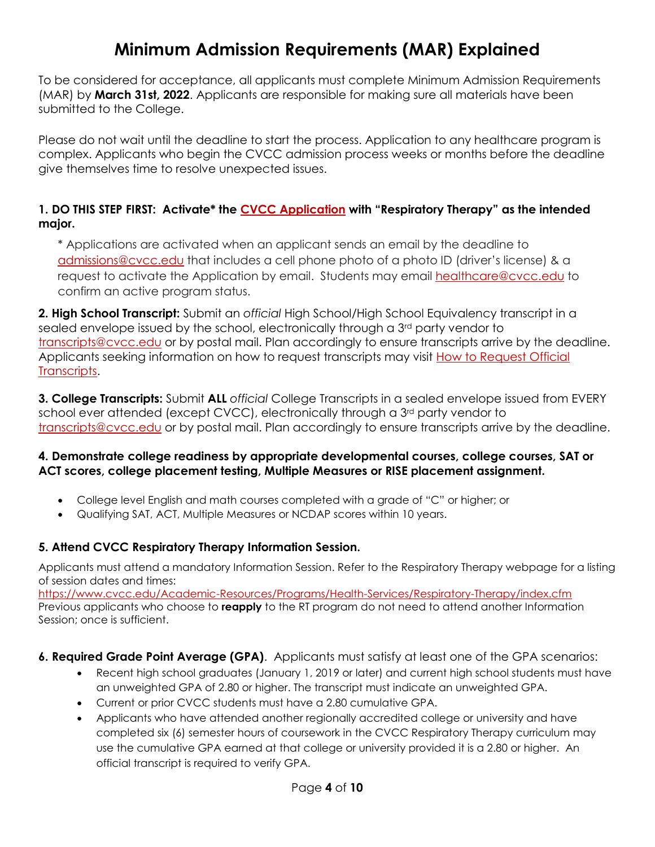### **Minimum Admission Requirements (MAR) Explained**

To be considered for acceptance, all applicants must complete Minimum Admission Requirements (MAR) by **March 31st, 2022**. Applicants are responsible for making sure all materials have been submitted to the College.

Please do not wait until the deadline to start the process. Application to any healthcare program is complex. Applicants who begin the CVCC admission process weeks or months before the deadline give themselves time to resolve unexpected issues.

### **1. DO THIS STEP FIRST: Activate\* the CVCC Application with "Respiratory Therapy" as the intended major.**

\* Applications are activated when an applicant sends an email by the deadline to admissions@cvcc.edu that includes a cell phone photo of a photo ID (driver's license) & a request to activate the Application by email. Students may email healthcare@cvcc.edu to confirm an active program status.

**2. High School Transcript:** Submit an *official* High School/High School Equivalency transcript in a sealed envelope issued by the school, electronically through a 3rd party vendor to transcripts@cvcc.edu or by postal mail. Plan accordingly to ensure transcripts arrive by the deadline. Applicants seeking information on how to request transcripts may visit How to Request Official Transcripts.

**3. College Transcripts:** Submit **ALL** *official* College Transcripts in a sealed envelope issued from EVERY school ever attended (except CVCC), electronically through a 3<sup>rd</sup> party vendor to transcripts@cvcc.edu or by postal mail. Plan accordingly to ensure transcripts arrive by the deadline.

#### **4. Demonstrate college readiness by appropriate developmental courses, college courses, SAT or ACT scores, college placement testing, Multiple Measures or RISE placement assignment.**

- College level English and math courses completed with a grade of "C" or higher; or
- Qualifying SAT, ACT, Multiple Measures or NCDAP scores within 10 years.

### **5. Attend CVCC Respiratory Therapy Information Session.**

Applicants must attend a mandatory Information Session. Refer to the Respiratory Therapy webpage for a listing of session dates and times:

https://www.cvcc.edu/Academic-Resources/Programs/Health-Services/Respiratory-Therapy/index.cfm Previous applicants who choose to **reapply** to the RT program do not need to attend another Information Session; once is sufficient.

- **6. Required Grade Point Average (GPA)**. Applicants must satisfy at least one of the GPA scenarios:
	- Recent high school graduates (January 1, 2019 or later) and current high school students must have an unweighted GPA of 2.80 or higher. The transcript must indicate an unweighted GPA.
	- Current or prior CVCC students must have a 2.80 cumulative GPA.
	- Applicants who have attended another regionally accredited college or university and have completed six (6) semester hours of coursework in the CVCC Respiratory Therapy curriculum may use the cumulative GPA earned at that college or university provided it is a 2.80 or higher. An official transcript is required to verify GPA.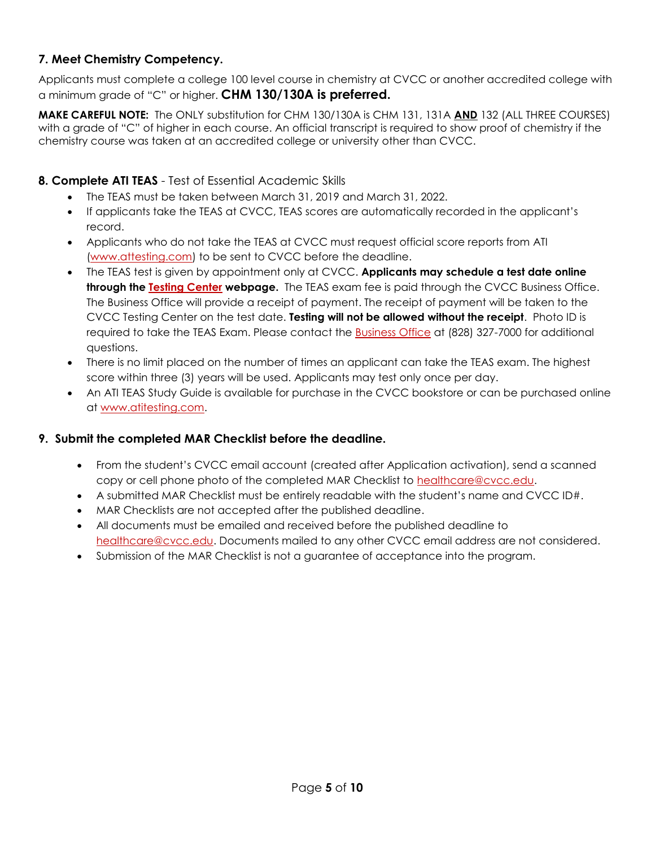### **7. Meet Chemistry Competency.**

Applicants must complete a college 100 level course in chemistry at CVCC or another accredited college with a minimum grade of "C" or higher. **CHM 130/130A is preferred.**

**MAKE CAREFUL NOTE:** The ONLY substitution for CHM 130/130A is CHM 131, 131A **AND** 132 (ALL THREE COURSES) with a grade of "C" of higher in each course. An official transcript is required to show proof of chemistry if the chemistry course was taken at an accredited college or university other than CVCC.

### **8. Complete ATI TEAS** - Test of Essential Academic Skills

- The TEAS must be taken between March 31, 2019 and March 31, 2022.
- If applicants take the TEAS at CVCC, TEAS scores are automatically recorded in the applicant's record.
- Applicants who do not take the TEAS at CVCC must request official score reports from ATI (www.attesting.com) to be sent to CVCC before the deadline.
- The TEAS test is given by appointment only at CVCC. **Applicants may schedule a test date online through the Testing Center webpage.** The TEAS exam fee is paid through the CVCC Business Office. The Business Office will provide a receipt of payment. The receipt of payment will be taken to the CVCC Testing Center on the test date. **Testing will not be allowed without the receipt**. Photo ID is required to take the TEAS Exam. Please contact the Business Office at (828) 327-7000 for additional questions.
- There is no limit placed on the number of times an applicant can take the TEAS exam. The highest score within three (3) years will be used. Applicants may test only once per day.
- An ATI TEAS Study Guide is available for purchase in the CVCC bookstore or can be purchased online at www.atitesting.com.

#### **9. Submit the completed MAR Checklist before the deadline.**

- From the student's CVCC email account (created after Application activation), send a scanned copy or cell phone photo of the completed MAR Checklist to healthcare@cvcc.edu.
- A submitted MAR Checklist must be entirely readable with the student's name and CVCC ID#.
- MAR Checklists are not accepted after the published deadline.
- All documents must be emailed and received before the published deadline to healthcare@cvcc.edu. Documents mailed to any other CVCC email address are not considered.
- Submission of the MAR Checklist is not a guarantee of acceptance into the program.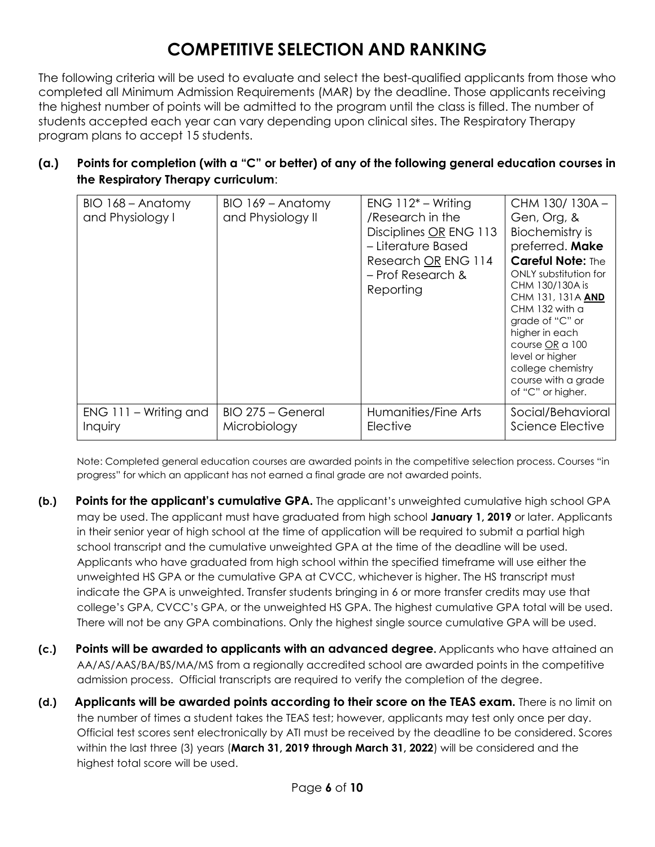# **COMPETITIVE SELECTION AND RANKING**

The following criteria will be used to evaluate and select the best-qualified applicants from those who completed all Minimum Admission Requirements (MAR) by the deadline. Those applicants receiving the highest number of points will be admitted to the program until the class is filled. The number of students accepted each year can vary depending upon clinical sites. The Respiratory Therapy program plans to accept 15 students.

### **(a.) Points for completion (with a "C" or better) of any of the following general education courses in the Respiratory Therapy curriculum**:

| BIO 168 - Anatomy<br>and Physiology I | $BIO$ 169 – Anatomy<br>and Physiology II | $ENG 112^* - Writing$<br>/Research in the<br>Disciplines OR ENG 113<br>- Literature Based<br>Research OR ENG 114<br>- Prof Research &<br>Reporting | CHM 130/130A-<br>Gen, Org, &<br>Biochemistry is<br>preferred. Make<br><b>Careful Note: The</b><br>ONLY substitution for<br>CHM 130/130A is<br>CHM 131, 131A AND<br>$CHM$ 132 with a<br>grade of "C" or<br>higher in each<br>course OR a 100<br>level or higher<br>college chemistry<br>course with a grade<br>of "C" or higher. |
|---------------------------------------|------------------------------------------|----------------------------------------------------------------------------------------------------------------------------------------------------|---------------------------------------------------------------------------------------------------------------------------------------------------------------------------------------------------------------------------------------------------------------------------------------------------------------------------------|
| $ENG$ 111 – Writing and               | BIO 275 - General                        | Humanities/Fine Arts                                                                                                                               | Social/Behavioral                                                                                                                                                                                                                                                                                                               |
| Inquiry                               | Microbiology                             | Elective                                                                                                                                           | Science Elective                                                                                                                                                                                                                                                                                                                |

Note: Completed general education courses are awarded points in the competitive selection process. Courses "in progress" for which an applicant has not earned a final grade are not awarded points.

- **(b.) Points for the applicant's cumulative GPA.** The applicant's unweighted cumulative high school GPA may be used. The applicant must have graduated from high school **January 1, 2019** or later. Applicants in their senior year of high school at the time of application will be required to submit a partial high school transcript and the cumulative unweighted GPA at the time of the deadline will be used. Applicants who have graduated from high school within the specified timeframe will use either the unweighted HS GPA or the cumulative GPA at CVCC, whichever is higher. The HS transcript must indicate the GPA is unweighted. Transfer students bringing in 6 or more transfer credits may use that college's GPA, CVCC's GPA, or the unweighted HS GPA. The highest cumulative GPA total will be used. There will not be any GPA combinations. Only the highest single source cumulative GPA will be used.
- **(c.) Points will be awarded to applicants with an advanced degree.** Applicants who have attained an AA/AS/AAS/BA/BS/MA/MS from a regionally accredited school are awarded points in the competitive admission process. Official transcripts are required to verify the completion of the degree.
- **(d.) Applicants will be awarded points according to their score on the TEAS exam.** There is no limit on the number of times a student takes the TEAS test; however, applicants may test only once per day. Official test scores sent electronically by ATI must be received by the deadline to be considered. Scores within the last three (3) years (**March 31, 2019 through March 31, 2022**) will be considered and the highest total score will be used.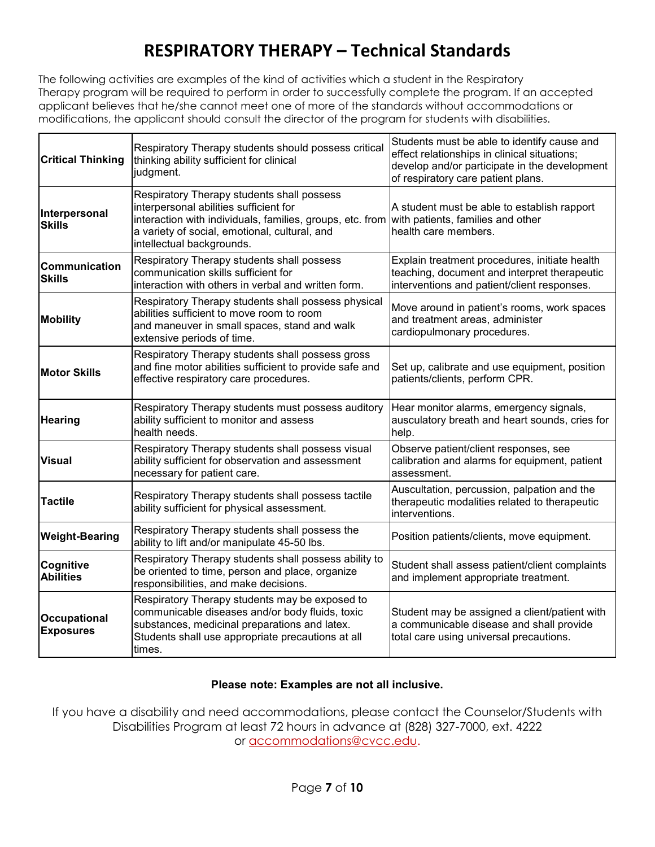### **RESPIRATORY THERAPY – Technical Standards**

The following activities are examples of the kind of activities which a student in the Respiratory Therapy program will be required to perform in order to successfully complete the program. If an accepted applicant believes that he/she cannot meet one of more of the standards without accommodations or modifications, the applicant should consult the director of the program for students with disabilities.

| <b>Critical Thinking</b>         | Respiratory Therapy students should possess critical<br>thinking ability sufficient for clinical<br>judgment.                                                                                                                                                     | Students must be able to identify cause and<br>effect relationships in clinical situations;<br>develop and/or participate in the development<br>of respiratory care patient plans. |
|----------------------------------|-------------------------------------------------------------------------------------------------------------------------------------------------------------------------------------------------------------------------------------------------------------------|------------------------------------------------------------------------------------------------------------------------------------------------------------------------------------|
| Interpersonal<br><b>Skills</b>   | Respiratory Therapy students shall possess<br>interpersonal abilities sufficient for<br>interaction with individuals, families, groups, etc. from with patients, families and other<br>a variety of social, emotional, cultural, and<br>intellectual backgrounds. | A student must be able to establish rapport<br>health care members.                                                                                                                |
| Communication<br><b>Skills</b>   | Respiratory Therapy students shall possess<br>communication skills sufficient for<br>interaction with others in verbal and written form.                                                                                                                          | Explain treatment procedures, initiate health<br>teaching, document and interpret therapeutic<br>interventions and patient/client responses.                                       |
| Mobility                         | Respiratory Therapy students shall possess physical<br>abilities sufficient to move room to room<br>and maneuver in small spaces, stand and walk<br>extensive periods of time.                                                                                    | Move around in patient's rooms, work spaces<br>and treatment areas, administer<br>cardiopulmonary procedures.                                                                      |
| <b>Motor Skills</b>              | Respiratory Therapy students shall possess gross<br>and fine motor abilities sufficient to provide safe and<br>effective respiratory care procedures.                                                                                                             | Set up, calibrate and use equipment, position<br>patients/clients, perform CPR.                                                                                                    |
| <b>Hearing</b>                   | Respiratory Therapy students must possess auditory<br>ability sufficient to monitor and assess<br>health needs.                                                                                                                                                   | Hear monitor alarms, emergency signals,<br>ausculatory breath and heart sounds, cries for<br>help.                                                                                 |
| <b>Visual</b>                    | Respiratory Therapy students shall possess visual<br>ability sufficient for observation and assessment<br>necessary for patient care.                                                                                                                             | Observe patient/client responses, see<br>calibration and alarms for equipment, patient<br>assessment.                                                                              |
| <b>Tactile</b>                   | Respiratory Therapy students shall possess tactile<br>ability sufficient for physical assessment.                                                                                                                                                                 | Auscultation, percussion, palpation and the<br>therapeutic modalities related to therapeutic<br>interventions.                                                                     |
| <b>Weight-Bearing</b>            | Respiratory Therapy students shall possess the<br>ability to lift and/or manipulate 45-50 lbs.                                                                                                                                                                    | Position patients/clients, move equipment.                                                                                                                                         |
| Cognitive<br><b>Abilities</b>    | Respiratory Therapy students shall possess ability to<br>be oriented to time, person and place, organize<br>responsibilities, and make decisions.                                                                                                                 | Student shall assess patient/client complaints<br>and implement appropriate treatment.                                                                                             |
| Occupational<br><b>Exposures</b> | Respiratory Therapy students may be exposed to<br>communicable diseases and/or body fluids, toxic<br>substances, medicinal preparations and latex.<br>Students shall use appropriate precautions at all<br>times.                                                 | Student may be assigned a client/patient with<br>a communicable disease and shall provide<br>total care using universal precautions.                                               |

#### **Please note: Examples are not all inclusive.**

If you have a disability and need accommodations, please contact the Counselor/Students with Disabilities Program at least 72 hours in advance at (828) 327-7000, ext. 4222 or accommodations@cvcc.edu.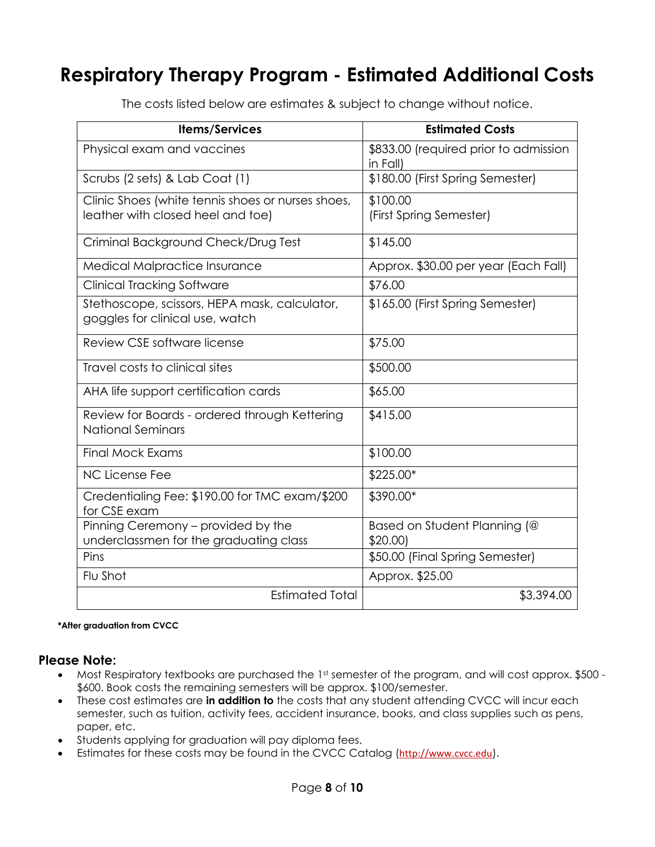# **Respiratory Therapy Program - Estimated Additional Costs**

| <b>Items/Services</b>                                                                  | <b>Estimated Costs</b>                            |
|----------------------------------------------------------------------------------------|---------------------------------------------------|
| Physical exam and vaccines                                                             | \$833.00 (required prior to admission<br>in Fall) |
| Scrubs (2 sets) & Lab Coat (1)                                                         | \$180.00 (First Spring Semester)                  |
| Clinic Shoes (white tennis shoes or nurses shoes,<br>leather with closed heel and toe) | \$100.00<br>(First Spring Semester)               |
| Criminal Background Check/Drug Test                                                    | \$145.00                                          |
| <b>Medical Malpractice Insurance</b>                                                   | Approx. \$30.00 per year (Each Fall)              |
| <b>Clinical Tracking Software</b>                                                      | \$76.00                                           |
| Stethoscope, scissors, HEPA mask, calculator,<br>goggles for clinical use, watch       | \$165.00 (First Spring Semester)                  |
| Review CSE software license                                                            | \$75.00                                           |
| Travel costs to clinical sites                                                         | \$500.00                                          |
| AHA life support certification cards                                                   | \$65.00                                           |
| Review for Boards - ordered through Kettering<br><b>National Seminars</b>              | \$415.00                                          |
| <b>Final Mock Exams</b>                                                                | \$100.00                                          |
| <b>NC License Fee</b>                                                                  | \$225.00*                                         |
| Credentialing Fee: \$190.00 for TMC exam/\$200<br>for CSE exam                         | \$390.00*                                         |
| Pinning Ceremony - provided by the                                                     | Based on Student Planning (@                      |
| underclassmen for the graduating class                                                 | \$20.00                                           |
| Pins                                                                                   | \$50.00 (Final Spring Semester)                   |
| Flu Shot                                                                               | Approx. \$25.00                                   |
| <b>Estimated Total</b>                                                                 | \$3,394.00                                        |

The costs listed below are estimates & subject to change without notice.

#### **\*After graduation from CVCC**

#### **Please Note:**

- Most Respiratory textbooks are purchased the 1st semester of the program, and will cost approx. \$500 -\$600. Book costs the remaining semesters will be approx. \$100/semester.
- These cost estimates are **in addition to** the costs that any student attending CVCC will incur each semester, such as tuition, activity fees, accident insurance, books, and class supplies such as pens, paper, etc.
- Students applying for graduation will pay diploma fees.
- Estimates for these costs may be found in the CVCC Catalog (http://www.cvcc.edu).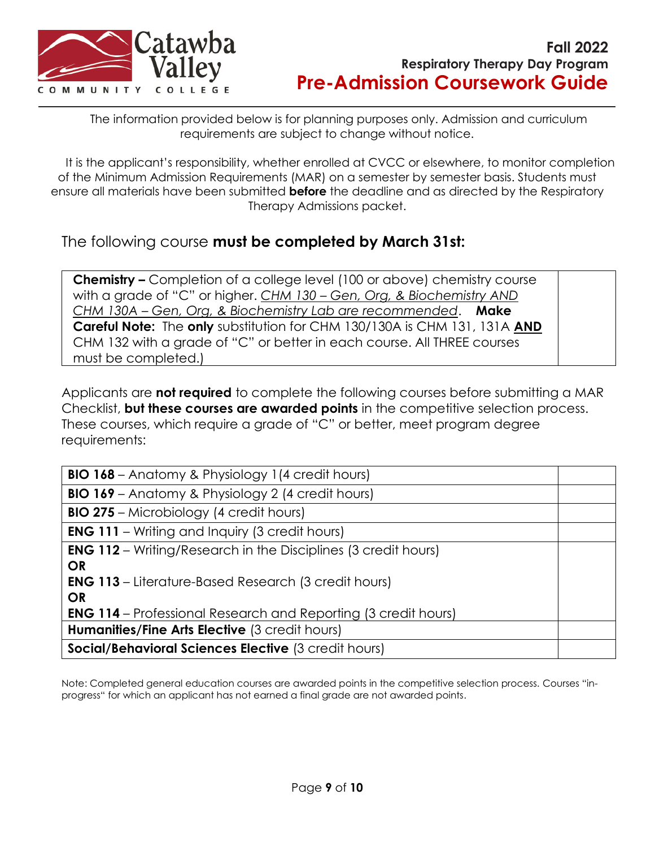

The information provided below is for planning purposes only. Admission and curriculum requirements are subject to change without notice.

It is the applicant's responsibility, whether enrolled at CVCC or elsewhere, to monitor completion of the Minimum Admission Requirements (MAR) on a semester by semester basis. Students must ensure all materials have been submitted **before** the deadline and as directed by the Respiratory Therapy Admissions packet.

The following course **must be completed by March 31st:**

**Chemistry –** Completion of a college level (100 or above) chemistry course with a grade of "C" or higher. *CHM 130 – Gen, Org, & Biochemistry AND CHM 130A – Gen, Org, & Biochemistry Lab are recommended*. **Make Careful Note:** The **only** substitution for CHM 130/130A is CHM 131, 131A **AND** CHM 132 with a grade of "C" or better in each course. All THREE courses must be completed.)

Applicants are **not required** to complete the following courses before submitting a MAR Checklist, **but these courses are awarded points** in the competitive selection process. These courses, which require a grade of "C" or better, meet program degree requirements:

| <b>BIO 168</b> – Anatomy & Physiology 1(4 credit hours)               |  |  |
|-----------------------------------------------------------------------|--|--|
| <b>BIO 169</b> - Anatomy & Physiology 2 (4 credit hours)              |  |  |
| <b>BIO 275</b> – Microbiology (4 credit hours)                        |  |  |
| <b>ENG 111</b> – Writing and Inquiry (3 credit hours)                 |  |  |
| <b>ENG 112</b> – Writing/Research in the Disciplines (3 credit hours) |  |  |
| <b>OR</b>                                                             |  |  |
| <b>ENG 113</b> – Literature-Based Research (3 credit hours)           |  |  |
| <b>OR</b>                                                             |  |  |
| <b>ENG 114</b> – Professional Research and Reporting (3 credit hours) |  |  |
| Humanities/Fine Arts Elective (3 credit hours)                        |  |  |
| Social/Behavioral Sciences Elective (3 credit hours)                  |  |  |

Note: Completed general education courses are awarded points in the competitive selection process. Courses "inprogress" for which an applicant has not earned a final grade are not awarded points.